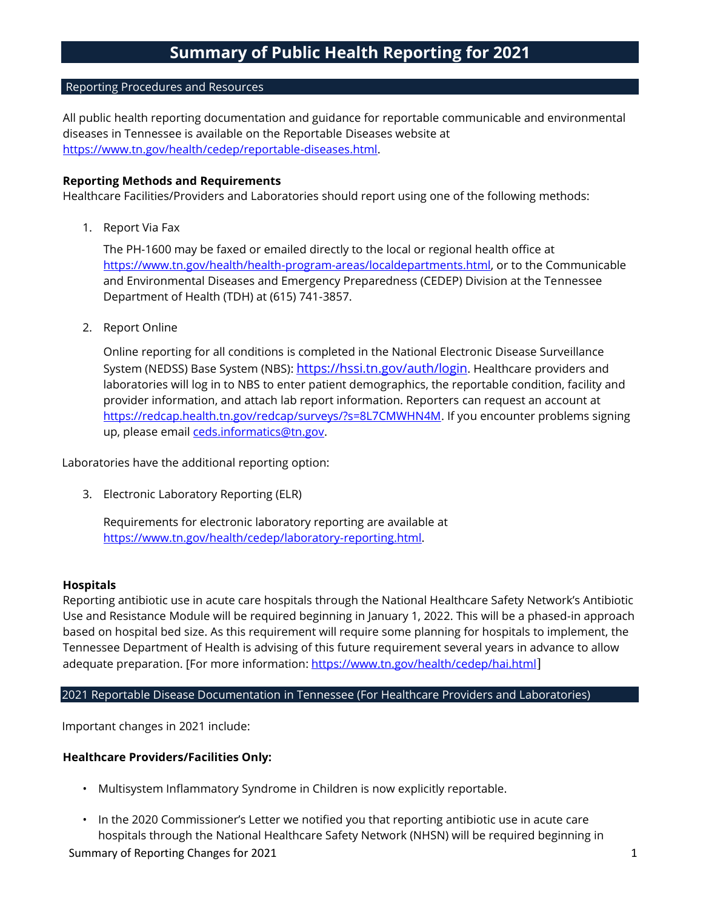#### Reporting Procedures and Resources

All public health reporting documentation and guidance for reportable communicable and environmental diseases in Tennessee is available on the Reportable Diseases website at [https://www.tn.gov/health/cedep/reportable-diseases.html.](https://www.tn.gov/health/cedep/reportable-diseases.html)

## **Reporting Methods and Requirements**

Healthcare Facilities/Providers and Laboratories should report using one of the following methods:

1. Report Via Fax

The PH-1600 may be faxed or emailed directly to the local or regional health office at [https://www.tn.gov/health/health-program-areas/localdepartments.html,](https://www.tn.gov/health/health-program-areas/localdepartments.html) or to the Communicable and Environmental Diseases and Emergency Preparedness (CEDEP) Division at the Tennessee Department of Health (TDH) at (615) 741-3857.

2. Report Online

Online reporting for all conditions is completed in the National Electronic Disease Surveillance System (NEDSS) Base System (NBS): <https://hssi.tn.gov/auth/login>. Healthcare providers and laboratories will log in to NBS to enter patient demographics, the reportable condition, facility and provider information, and attach lab report information. Reporters can request an account at [https://redcap.health.tn.gov/redcap/surveys/?s=8L7CMWHN4M.](https://redcap.health.tn.gov/redcap/surveys/?s=8L7CMWHN4M) If you encounter problems signing up, please email [ceds.informatics@tn.gov.](mailto:ceds.informatics@tn.gov)

Laboratories have the additional reporting option:

3. Electronic Laboratory Reporting (ELR)

Requirements for electronic laboratory reporting are available at [https://www.tn.gov/health/cedep/laboratory-reporting.html.](https://www.tn.gov/health/cedep/laboratory-reporting.html)

#### **Hospitals**

Reporting antibiotic use in acute care hospitals through the National Healthcare Safety Network's Antibiotic Use and Resistance Module will be required beginning in January 1, 2022. This will be a phased-in approach based on hospital bed size. As this requirement will require some planning for hospitals to implement, the Tennessee Department of Health is advising of this future requirement several years in advance to allow adequate preparation. [For more information: <https://www.tn.gov/health/cedep/hai.html>]

# 2021 Reportable Disease Documentation in Tennessee (For Healthcare Providers and Laboratories)

Important changes in 2021 include:

#### **Healthcare Providers/Facilities Only:**

- Multisystem Inflammatory Syndrome in Children is now explicitly reportable.
- Summary of Reporting Changes for 2021 1 • In the 2020 Commissioner's Letter we notified you that reporting antibiotic use in acute care hospitals through the National Healthcare Safety Network (NHSN) will be required beginning in